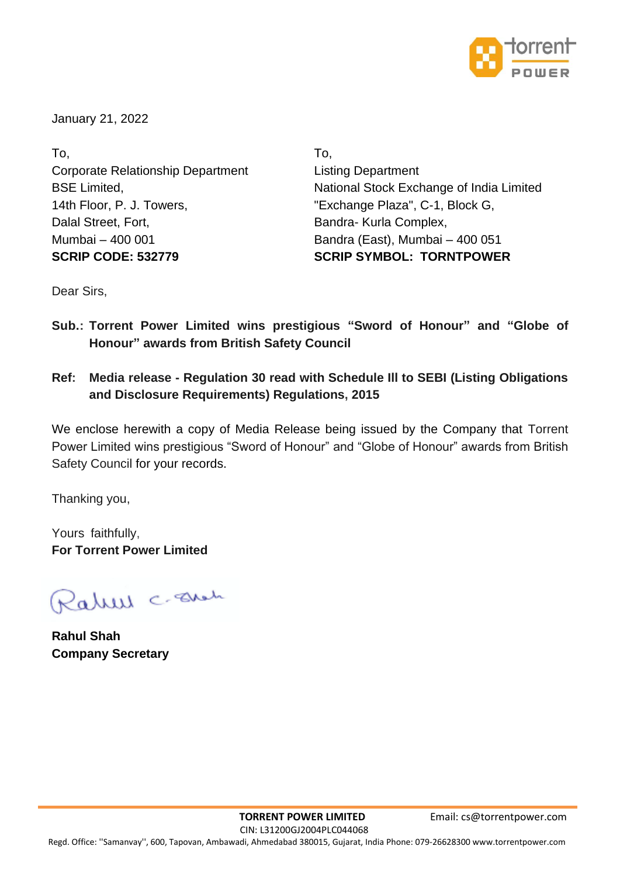

January 21, 2022

To, To, Corporate Relationship Department Listing Department 14th Floor, P. J. Towers, "Exchange Plaza", C-1, Block G, Dalal Street, Fort, **Bandra- Kurla Complex,** Bandra- Kurla Complex, Mumbai – 400 001 Bandra (East), Mumbai – 400 051 **SCRIP CODE: 532779 SCRIP SYMBOL: TORNTPOWER**

BSE Limited, National Stock Exchange of India Limited

Dear Sirs,

- **Sub.: Torrent Power Limited wins prestigious "Sword of Honour" and "Globe of Honour" awards from British Safety Council**
- **Ref: Media release - Regulation 30 read with Schedule Ill to SEBI (Listing Obligations and Disclosure Requirements) Regulations, 2015**

We enclose herewith a copy of Media Release being issued by the Company that Torrent Power Limited wins prestigious "Sword of Honour" and "Globe of Honour" awards from British Safety Council for your records.

Thanking you,

Yours faithfully, **For Torrent Power Limited**

Ralell c. Eller

**Rahul Shah Company Secretary**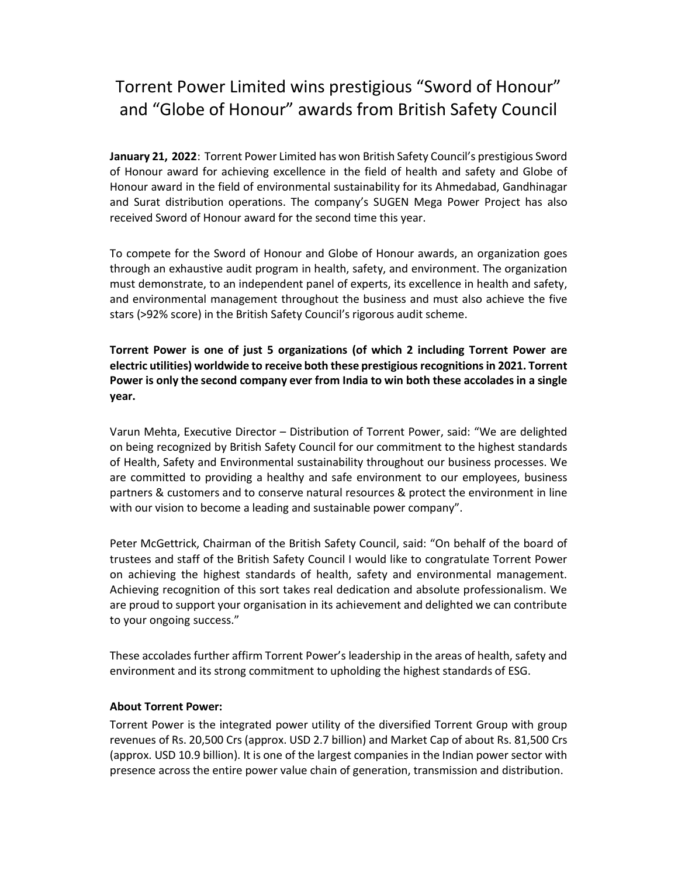## Torrent Power Limited wins prestigious "Sword of Honour" and "Globe of Honour" awards from British Safety Council

January 21, 2022: Torrent Power Limited has won British Safety Council's prestigious Sword of Honour award for achieving excellence in the field of health and safety and Globe of Honour award in the field of environmental sustainability for its Ahmedabad, Gandhinagar and Surat distribution operations. The company's SUGEN Mega Power Project has also received Sword of Honour award for the second time this year.

To compete for the Sword of Honour and Globe of Honour awards, an organization goes through an exhaustive audit program in health, safety, and environment. The organization must demonstrate, to an independent panel of experts, its excellence in health and safety, and environmental management throughout the business and must also achieve the five stars (>92% score) in the British Safety Council's rigorous audit scheme.

Torrent Power is one of just 5 organizations (of which 2 including Torrent Power are electric utilities) worldwide to receive both these prestigious recognitions in 2021. Torrent Power is only the second company ever from India to win both these accolades in a single year.

Varun Mehta, Executive Director – Distribution of Torrent Power, said: "We are delighted on being recognized by British Safety Council for our commitment to the highest standards of Health, Safety and Environmental sustainability throughout our business processes. We are committed to providing a healthy and safe environment to our employees, business partners & customers and to conserve natural resources & protect the environment in line with our vision to become a leading and sustainable power company".

Peter McGettrick, Chairman of the British Safety Council, said: "On behalf of the board of trustees and staff of the British Safety Council I would like to congratulate Torrent Power on achieving the highest standards of health, safety and environmental management. Achieving recognition of this sort takes real dedication and absolute professionalism. We are proud to support your organisation in its achievement and delighted we can contribute to your ongoing success."

These accolades further affirm Torrent Power's leadership in the areas of health, safety and environment and its strong commitment to upholding the highest standards of ESG.

## About Torrent Power:

Torrent Power is the integrated power utility of the diversified Torrent Group with group revenues of Rs. 20,500 Crs (approx. USD 2.7 billion) and Market Cap of about Rs. 81,500 Crs (approx. USD 10.9 billion). It is one of the largest companies in the Indian power sector with presence across the entire power value chain of generation, transmission and distribution.